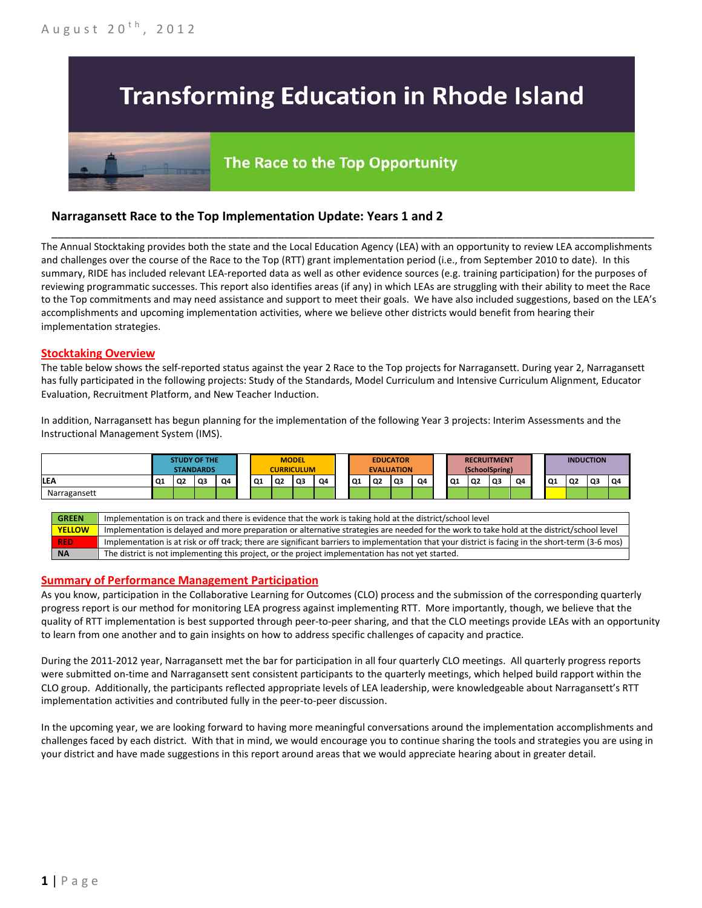# **Transforming Education in Rhode Island**

# The Race to the Top Opportunity

## **Narragansett Race to the Top Implementation Update: Years 1 and 2**

The Annual Stocktaking provides both the state and the Local Education Agency (LEA) with an opportunity to review LEA accomplishments and challenges over the course of the Race to the Top (RTT) grant implementation period (i.e., from September 2010 to date). In this summary, RIDE has included relevant LEA-reported data as well as other evidence sources (e.g. training participation) for the purposes of reviewing programmatic successes. This report also identifies areas (if any) in which LEAs are struggling with their ability to meet the Race to the Top commitments and may need assistance and support to meet their goals. We have also included suggestions, based on the LEA's accomplishments and upcoming implementation activities, where we believe other districts would benefit from hearing their implementation strategies.

\_\_\_\_\_\_\_\_\_\_\_\_\_\_\_\_\_\_\_\_\_\_\_\_\_\_\_\_\_\_\_\_\_\_\_\_\_\_\_\_\_\_\_\_\_\_\_\_\_\_\_\_\_\_\_\_\_\_\_\_\_\_\_\_\_\_\_\_\_\_\_\_\_\_\_\_\_\_\_\_\_\_\_\_\_\_\_\_\_\_\_\_\_\_\_\_

#### **Stocktaking Overview**

The table below shows the self-reported status against the year 2 Race to the Top projects for Narragansett. During year 2, Narragansett has fully participated in the following projects: Study of the Standards, Model Curriculum and Intensive Curriculum Alignment, Educator Evaluation, Recruitment Platform, and New Teacher Induction.

In addition, Narragansett has begun planning for the implementation of the following Year 3 projects: Interim Assessments and the Instructional Management System (IMS).



#### **Summary of Performance Management Participation**

As you know, participation in the Collaborative Learning for Outcomes (CLO) process and the submission of the corresponding quarterly progress report is our method for monitoring LEA progress against implementing RTT. More importantly, though, we believe that the quality of RTT implementation is best supported through peer-to-peer sharing, and that the CLO meetings provide LEAs with an opportunity to learn from one another and to gain insights on how to address specific challenges of capacity and practice.

During the 2011-2012 year, Narragansett met the bar for participation in all four quarterly CLO meetings. All quarterly progress reports were submitted on-time and Narragansett sent consistent participants to the quarterly meetings, which helped build rapport within the CLO group. Additionally, the participants reflected appropriate levels of LEA leadership, were knowledgeable about Narragansett's RTT implementation activities and contributed fully in the peer-to-peer discussion.

In the upcoming year, we are looking forward to having more meaningful conversations around the implementation accomplishments and challenges faced by each district. With that in mind, we would encourage you to continue sharing the tools and strategies you are using in your district and have made suggestions in this report around areas that we would appreciate hearing about in greater detail.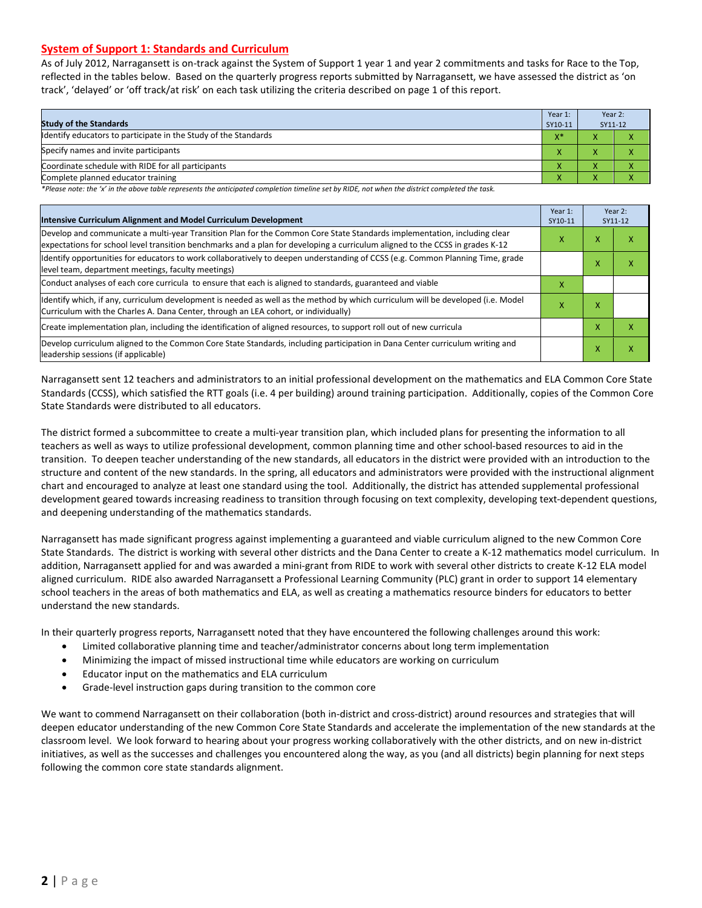#### **System of Support 1: Standards and Curriculum**

As of July 2012, Narragansett is on-track against the System of Support 1 year 1 and year 2 commitments and tasks for Race to the Top, reflected in the tables below. Based on the quarterly progress reports submitted by Narragansett, we have assessed the district as 'on track', 'delayed' or 'off track/at risk' on each task utilizing the criteria described on page 1 of this report.

| <b>Study of the Standards</b>                                   | Year 1:<br>SY10-11 | Year 2:<br>SY11-12 |  |
|-----------------------------------------------------------------|--------------------|--------------------|--|
| Identify educators to participate in the Study of the Standards | $X^*$              |                    |  |
| Specify names and invite participants                           |                    |                    |  |
| Coordinate schedule with RIDE for all participants              |                    |                    |  |
| Complete planned educator training                              |                    |                    |  |

*\*Please note: the 'x' in the above table represents the anticipated completion timeline set by RIDE, not when the district completed the task.*

| Intensive Curriculum Alignment and Model Curriculum Development                                                                                                                                                                                           |   |                   | Year 2:<br>SY11-12 |
|-----------------------------------------------------------------------------------------------------------------------------------------------------------------------------------------------------------------------------------------------------------|---|-------------------|--------------------|
| Develop and communicate a multi-year Transition Plan for the Common Core State Standards implementation, including clear<br>expectations for school level transition benchmarks and a plan for developing a curriculum aligned to the CCSS in grades K-12 |   |                   | χ                  |
| Identify opportunities for educators to work collaboratively to deepen understanding of CCSS (e.g. Common Planning Time, grade<br>level team, department meetings, faculty meetings)                                                                      |   | $\checkmark$<br>v | x                  |
| Conduct analyses of each core curricula to ensure that each is aligned to standards, guaranteed and viable                                                                                                                                                | x |                   |                    |
| ldentify which, if any, curriculum development is needed as well as the method by which curriculum will be developed (i.e. Model<br>Curriculum with the Charles A. Dana Center, through an LEA cohort, or individually)                                   |   |                   |                    |
| Create implementation plan, including the identification of aligned resources, to support roll out of new curricula                                                                                                                                       |   | x                 | χ                  |
| Develop curriculum aligned to the Common Core State Standards, including participation in Dana Center curriculum writing and<br>leadership sessions (if applicable)                                                                                       |   | x                 | χ                  |

Narragansett sent 12 teachers and administrators to an initial professional development on the mathematics and ELA Common Core State Standards (CCSS), which satisfied the RTT goals (i.e. 4 per building) around training participation. Additionally, copies of the Common Core State Standards were distributed to all educators.

The district formed a subcommittee to create a multi-year transition plan, which included plans for presenting the information to all teachers as well as ways to utilize professional development, common planning time and other school-based resources to aid in the transition. To deepen teacher understanding of the new standards, all educators in the district were provided with an introduction to the structure and content of the new standards. In the spring, all educators and administrators were provided with the instructional alignment chart and encouraged to analyze at least one standard using the tool. Additionally, the district has attended supplemental professional development geared towards increasing readiness to transition through focusing on text complexity, developing text-dependent questions, and deepening understanding of the mathematics standards.

Narragansett has made significant progress against implementing a guaranteed and viable curriculum aligned to the new Common Core State Standards. The district is working with several other districts and the Dana Center to create a K-12 mathematics model curriculum. In addition, Narragansett applied for and was awarded a mini-grant from RIDE to work with several other districts to create K-12 ELA model aligned curriculum. RIDE also awarded Narragansett a Professional Learning Community (PLC) grant in order to support 14 elementary school teachers in the areas of both mathematics and ELA, as well as creating a mathematics resource binders for educators to better understand the new standards.

In their quarterly progress reports, Narragansett noted that they have encountered the following challenges around this work:

- Limited collaborative planning time and teacher/administrator concerns about long term implementation
- Minimizing the impact of missed instructional time while educators are working on curriculum
- Educator input on the mathematics and ELA curriculum
- Grade-level instruction gaps during transition to the common core

We want to commend Narragansett on their collaboration (both in-district and cross-district) around resources and strategies that will deepen educator understanding of the new Common Core State Standards and accelerate the implementation of the new standards at the classroom level. We look forward to hearing about your progress working collaboratively with the other districts, and on new in-district initiatives, as well as the successes and challenges you encountered along the way, as you (and all districts) begin planning for next steps following the common core state standards alignment.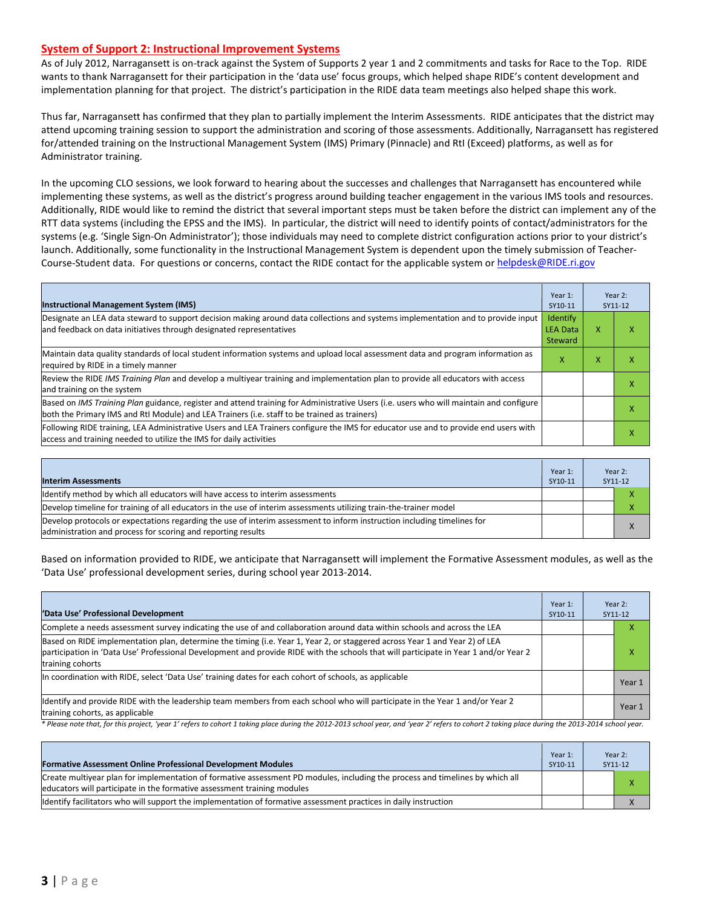#### **System of Support 2: Instructional Improvement Systems**

As of July 2012, Narragansett is on-track against the System of Supports 2 year 1 and 2 commitments and tasks for Race to the Top. RIDE wants to thank Narragansett for their participation in the 'data use' focus groups, which helped shape RIDE's content development and implementation planning for that project. The district's participation in the RIDE data team meetings also helped shape this work.

Thus far, Narragansett has confirmed that they plan to partially implement the Interim Assessments. RIDE anticipates that the district may attend upcoming training session to support the administration and scoring of those assessments. Additionally, Narragansett has registered for/attended training on the Instructional Management System (IMS) Primary (Pinnacle) and RtI (Exceed) platforms, as well as for Administrator training.

In the upcoming CLO sessions, we look forward to hearing about the successes and challenges that Narragansett has encountered while implementing these systems, as well as the district's progress around building teacher engagement in the various IMS tools and resources. Additionally, RIDE would like to remind the district that several important steps must be taken before the district can implement any of the RTT data systems (including the EPSS and the IMS). In particular, the district will need to identify points of contact/administrators for the systems (e.g. 'Single Sign-On Administrator'); those individuals may need to complete district configuration actions prior to your district's launch. Additionally, some functionality in the Instructional Management System is dependent upon the timely submission of TeacherCourse-Student data. For questions or concerns, contact the RIDE contact for the applicable system o[r helpdesk@RIDE.ri.gov](mailto:helpdesk@RIDE.ri.gov)

| <b>Instructional Management System (IMS)</b>                                                                                                                                                                                           | Year 1:<br>SY10-11                     |   | Year 2:<br>SY11-12 |
|----------------------------------------------------------------------------------------------------------------------------------------------------------------------------------------------------------------------------------------|----------------------------------------|---|--------------------|
| Designate an LEA data steward to support decision making around data collections and systems implementation and to provide input<br>and feedback on data initiatives through designated representatives                                | Identify<br><b>LEA Data</b><br>Steward | x | л                  |
| Maintain data quality standards of local student information systems and upload local assessment data and program information as<br>required by RIDE in a timely manner                                                                |                                        |   |                    |
| Review the RIDE IMS Training Plan and develop a multivear training and implementation plan to provide all educators with access<br>and training on the system                                                                          |                                        |   |                    |
| Based on IMS Training Plan guidance, register and attend training for Administrative Users (i.e. users who will maintain and configure<br>both the Primary IMS and RtI Module) and LEA Trainers (i.e. staff to be trained as trainers) |                                        |   |                    |
| Following RIDE training, LEA Administrative Users and LEA Trainers configure the IMS for educator use and to provide end users with<br>access and training needed to utilize the IMS for daily activities                              |                                        |   |                    |

| <b>Interim Assessments</b>                                                                                                                                                              | Year 1:<br>SY10-11 | Year 2:<br>SY11-12 |
|-----------------------------------------------------------------------------------------------------------------------------------------------------------------------------------------|--------------------|--------------------|
| Identify method by which all educators will have access to interim assessments                                                                                                          |                    |                    |
| Develop timeline for training of all educators in the use of interim assessments utilizing train-the-trainer model                                                                      |                    |                    |
| Develop protocols or expectations regarding the use of interim assessment to inform instruction including timelines for<br>administration and process for scoring and reporting results |                    |                    |

Based on information provided to RIDE, we anticipate that Narragansett will implement the Formative Assessment modules, as well as the 'Data Use' professional development series, during school year 2013-2014.

| 'Data Use' Professional Development                                                                                                                                                                                                                                                     | Year 1:<br>SY10-11 | Year 2:<br>SY11-12 |
|-----------------------------------------------------------------------------------------------------------------------------------------------------------------------------------------------------------------------------------------------------------------------------------------|--------------------|--------------------|
| Complete a needs assessment survey indicating the use of and collaboration around data within schools and across the LEA                                                                                                                                                                |                    | ⋏                  |
| Based on RIDE implementation plan, determine the timing (i.e. Year 1, Year 2, or staggered across Year 1 and Year 2) of LEA<br>participation in 'Data Use' Professional Development and provide RIDE with the schools that will participate in Year 1 and/or Year 2<br>training cohorts |                    | x                  |
| In coordination with RIDE, select 'Data Use' training dates for each cohort of schools, as applicable                                                                                                                                                                                   |                    | Year 1             |
| Identify and provide RIDE with the leadership team members from each school who will participate in the Year 1 and/or Year 2<br>training cohorts, as applicable                                                                                                                         |                    | Year 1             |

*\* Please note that, for this project, 'year 1' refers to cohort 1 taking place during the 2012-2013 school year, and 'year 2' refers to cohort 2 taking place during the 2013-2014 school year.*

| <b>Formative Assessment Online Professional Development Modules</b>                                                                                                                                       | Year 1:<br>SY10-11 | Year 2:<br>SY11-12 |
|-----------------------------------------------------------------------------------------------------------------------------------------------------------------------------------------------------------|--------------------|--------------------|
| Create multivear plan for implementation of formative assessment PD modules, including the process and timelines by which all<br>leducators will participate in the formative assessment training modules |                    |                    |
| lidentify facilitators who will support the implementation of formative assessment practices in daily instruction                                                                                         |                    |                    |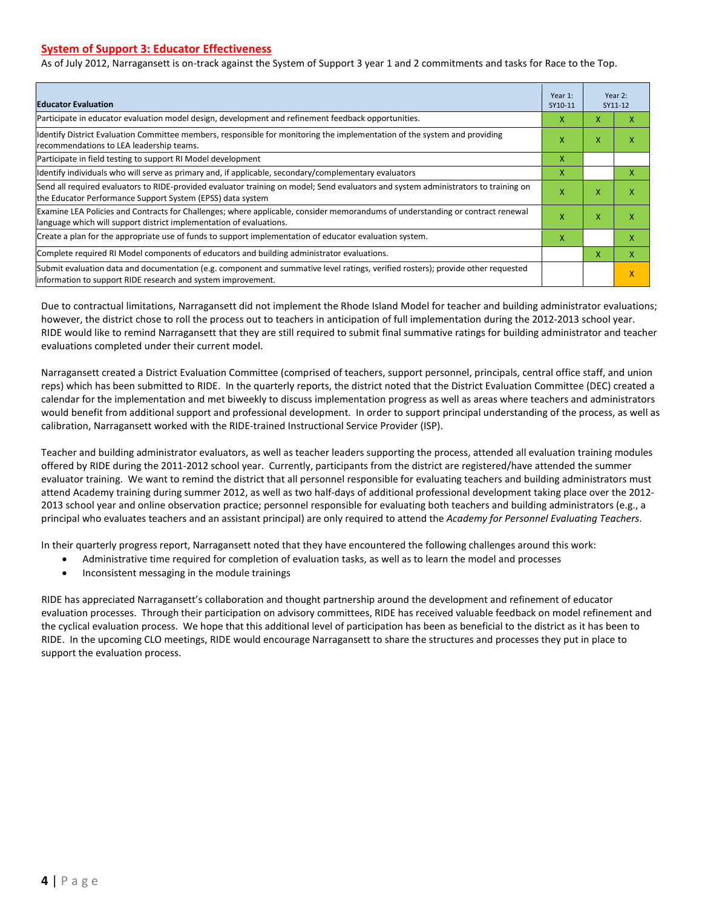#### **System of Support 3: Educator Effectiveness**

As of July 2012, Narragansett is on-track against the System of Support 3 year 1 and 2 commitments and tasks for Race to the Top.

| <b>Educator Evaluation</b>                                                                                                                                                                            |   |   | Year 2:<br>SY11-12 |  |
|-------------------------------------------------------------------------------------------------------------------------------------------------------------------------------------------------------|---|---|--------------------|--|
| Participate in educator evaluation model design, development and refinement feedback opportunities.                                                                                                   | x | X | x                  |  |
| Identify District Evaluation Committee members, responsible for monitoring the implementation of the system and providing<br>recommendations to LEA leadership teams.                                 | x | X | x                  |  |
| Participate in field testing to support RI Model development                                                                                                                                          | x |   |                    |  |
| Identify individuals who will serve as primary and, if applicable, secondary/complementary evaluators                                                                                                 | x |   | X                  |  |
| Send all required evaluators to RIDE-provided evaluator training on model; Send evaluators and system administrators to training on<br>the Educator Performance Support System (EPSS) data system     | X | X | X                  |  |
| Examine LEA Policies and Contracts for Challenges; where applicable, consider memorandums of understanding or contract renewal<br>language which will support district implementation of evaluations. |   | X | x                  |  |
| Create a plan for the appropriate use of funds to support implementation of educator evaluation system.                                                                                               |   |   | x                  |  |
| Complete required RI Model components of educators and building administrator evaluations.                                                                                                            |   |   | X                  |  |
| Submit evaluation data and documentation (e.g. component and summative level ratings, verified rosters); provide other requested<br>information to support RIDE research and system improvement.      |   |   | X                  |  |

Due to contractual limitations, Narragansett did not implement the Rhode Island Model for teacher and building administrator evaluations; however, the district chose to roll the process out to teachers in anticipation of full implementation during the 2012-2013 school year. RIDE would like to remind Narragansett that they are still required to submit final summative ratings for building administrator and teacher evaluations completed under their current model.

Narragansett created a District Evaluation Committee (comprised of teachers, support personnel, principals, central office staff, and union reps) which has been submitted to RIDE. In the quarterly reports, the district noted that the District Evaluation Committee (DEC) created a calendar for the implementation and met biweekly to discuss implementation progress as well as areas where teachers and administrators would benefit from additional support and professional development. In order to support principal understanding of the process, as well as calibration, Narragansett worked with the RIDE-trained Instructional Service Provider (ISP).

Teacher and building administrator evaluators, as well as teacher leaders supporting the process, attended all evaluation training modules offered by RIDE during the 2011-2012 school year. Currently, participants from the district are registered/have attended the summer evaluator training. We want to remind the district that all personnel responsible for evaluating teachers and building administrators must attend Academy training during summer 2012, as well as two half-days of additional professional development taking place over the 2012- 2013 school year and online observation practice; personnel responsible for evaluating both teachers and building administrators (e.g., a principal who evaluates teachers and an assistant principal) are only required to attend the *Academy for Personnel Evaluating Teachers*.

In their quarterly progress report, Narragansett noted that they have encountered the following challenges around this work:

- Administrative time required for completion of evaluation tasks, as well as to learn the model and processes
- Inconsistent messaging in the module trainings

RIDE has appreciated Narragansett's collaboration and thought partnership around the development and refinement of educator evaluation processes. Through their participation on advisory committees, RIDE has received valuable feedback on model refinement and the cyclical evaluation process. We hope that this additional level of participation has been as beneficial to the district as it has been to RIDE. In the upcoming CLO meetings, RIDE would encourage Narragansett to share the structures and processes they put in place to support the evaluation process.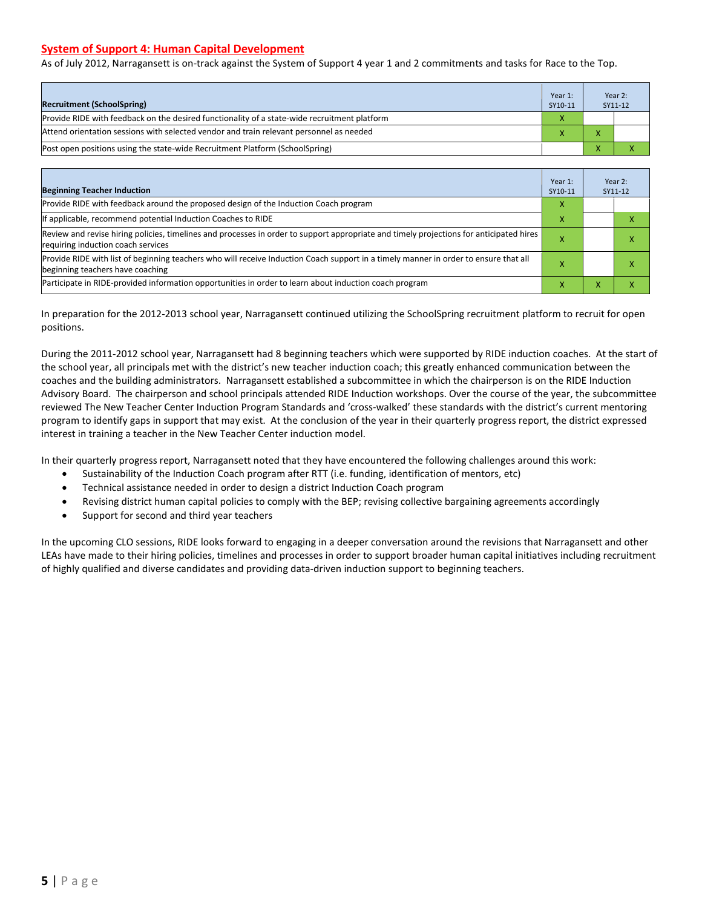#### **System of Support 4: Human Capital Development**

As of July 2012, Narragansett is on-track against the System of Support 4 year 1 and 2 commitments and tasks for Race to the Top.

| <b>Recruitment (SchoolSpring)</b>                                                            | Year 1:<br>SY10-11 | Year 2:<br>SY11-12 |
|----------------------------------------------------------------------------------------------|--------------------|--------------------|
| Provide RIDE with feedback on the desired functionality of a state-wide recruitment platform | X                  |                    |
| Attend orientation sessions with selected vendor and train relevant personnel as needed      |                    |                    |
| Post open positions using the state-wide Recruitment Platform (SchoolSpring)                 |                    |                    |

| <b>Beginning Teacher Induction</b>                                                                                                                                            | Year 1:<br>SY10-11 |  | Year 2:<br>SY11-12 |
|-------------------------------------------------------------------------------------------------------------------------------------------------------------------------------|--------------------|--|--------------------|
| Provide RIDE with feedback around the proposed design of the Induction Coach program                                                                                          | X                  |  |                    |
| If applicable, recommend potential Induction Coaches to RIDE                                                                                                                  | x                  |  |                    |
| Review and revise hiring policies, timelines and processes in order to support appropriate and timely projections for anticipated hires<br>requiring induction coach services |                    |  |                    |
| Provide RIDE with list of beginning teachers who will receive Induction Coach support in a timely manner in order to ensure that all<br>beginning teachers have coaching      |                    |  |                    |
| Participate in RIDE-provided information opportunities in order to learn about induction coach program                                                                        | х                  |  |                    |

In preparation for the 2012-2013 school year, Narragansett continued utilizing the SchoolSpring recruitment platform to recruit for open positions.

During the 2011-2012 school year, Narragansett had 8 beginning teachers which were supported by RIDE induction coaches. At the start of the school year, all principals met with the district's new teacher induction coach; this greatly enhanced communication between the coaches and the building administrators. Narragansett established a subcommittee in which the chairperson is on the RIDE Induction Advisory Board. The chairperson and school principals attended RIDE Induction workshops. Over the course of the year, the subcommittee reviewed The New Teacher Center Induction Program Standards and 'cross-walked' these standards with the district's current mentoring program to identify gaps in support that may exist. At the conclusion of the year in their quarterly progress report, the district expressed interest in training a teacher in the New Teacher Center induction model.

In their quarterly progress report, Narragansett noted that they have encountered the following challenges around this work:

- Sustainability of the Induction Coach program after RTT (i.e. funding, identification of mentors, etc)
- Technical assistance needed in order to design a district Induction Coach program
- Revising district human capital policies to comply with the BEP; revising collective bargaining agreements accordingly
- Support for second and third year teachers

In the upcoming CLO sessions, RIDE looks forward to engaging in a deeper conversation around the revisions that Narragansett and other LEAs have made to their hiring policies, timelines and processes in order to support broader human capital initiatives including recruitment of highly qualified and diverse candidates and providing data-driven induction support to beginning teachers.